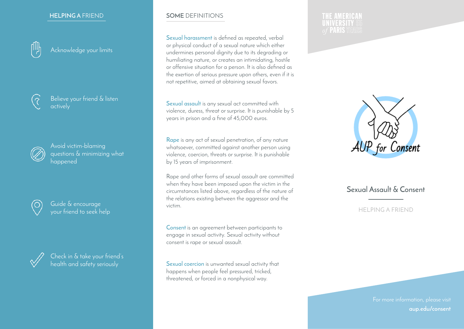#### **HELPING A** FRIEND



Acknowledge your limits



Believe your friend & listen actively



Avoid victim-blaming questions & minimizing what happened



Guide & encourage your friend to seek help



Check in & take your friend's health and safety seriously

#### **SOME** DEFINITIONS

**Sexual harassment** is defined as repeated, verbal or physical conduct of a sexual nature which either undermines personal dignity due to its degrading or humiliating nature, or creates an intimidating, hostile or offensive situation for a person. It is also defined as the exertion of serious pressure upon others, even if it is not repetitive, aimed at obtaining sexual favors.

**Sexual assault** is any sexual act committed with violence, duress, threat or surprise. It is punishable by 5 years in prison and a fine of 45,000 euros.

**Rape** is any act of sexual penetration, of any nature whatsoever, committed against another person using violence, coercion, threats or surprise. It is punishable by 15 years of imprisonment.

Rape and other forms of sexual assault are committed when they have been imposed upon the victim in the circumstances listed above, regardless of the nature of the relations existing between the aggressor and the victim.

**Consent** is an agreement between participants to engage in sexual activity. Sexual activity without consent is rape or sexual assault.

**Sexual coercion** is unwanted sexual activity that happens when people feel pressured, tricked, threatened, or forced in a nonphysical way.

#### **THE AMERICAN UNIVERSITY 55** *of PARIS YEARS*



# **Sexual Assault & Consent**

#### HELPING A FRIEND

For more information, please visit **aup.edu/consent**